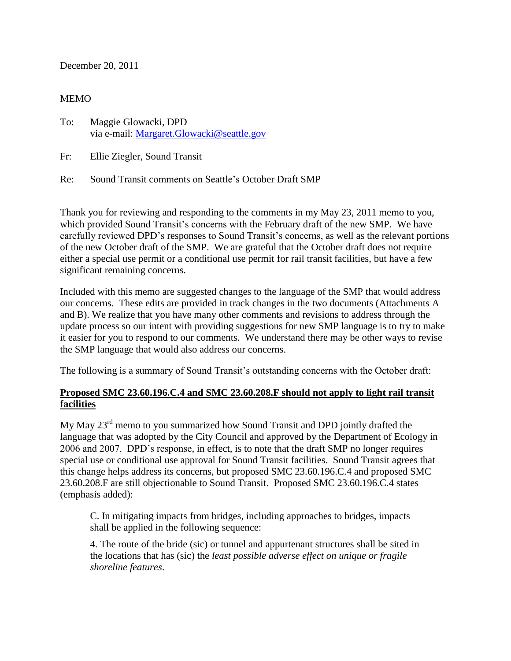December 20, 2011

#### MEMO

To: Maggie Glowacki, DPD via e-mail: [Margaret.Glowacki@seattle.gov](mailto:Margaret.Glowacki@seattle.gov)

Fr: Ellie Ziegler, Sound Transit

Re: Sound Transit comments on Seattle's October Draft SMP

Thank you for reviewing and responding to the comments in my May 23, 2011 memo to you, which provided Sound Transit's concerns with the February draft of the new SMP. We have carefully reviewed DPD's responses to Sound Transit's concerns, as well as the relevant portions of the new October draft of the SMP. We are grateful that the October draft does not require either a special use permit or a conditional use permit for rail transit facilities, but have a few significant remaining concerns.

Included with this memo are suggested changes to the language of the SMP that would address our concerns. These edits are provided in track changes in the two documents (Attachments A and B). We realize that you have many other comments and revisions to address through the update process so our intent with providing suggestions for new SMP language is to try to make it easier for you to respond to our comments. We understand there may be other ways to revise the SMP language that would also address our concerns.

The following is a summary of Sound Transit's outstanding concerns with the October draft:

# **Proposed SMC 23.60.196.C.4 and SMC 23.60.208.F should not apply to light rail transit facilities**

My May  $23<sup>rd</sup>$  memo to you summarized how Sound Transit and DPD jointly drafted the language that was adopted by the City Council and approved by the Department of Ecology in 2006 and 2007. DPD's response, in effect, is to note that the draft SMP no longer requires special use or conditional use approval for Sound Transit facilities. Sound Transit agrees that this change helps address its concerns, but proposed SMC 23.60.196.C.4 and proposed SMC 23.60.208.F are still objectionable to Sound Transit. Proposed SMC 23.60.196.C.4 states (emphasis added):

C. In mitigating impacts from bridges, including approaches to bridges, impacts shall be applied in the following sequence:

4. The route of the bride (sic) or tunnel and appurtenant structures shall be sited in the locations that has (sic) the *least possible adverse effect on unique or fragile shoreline features*.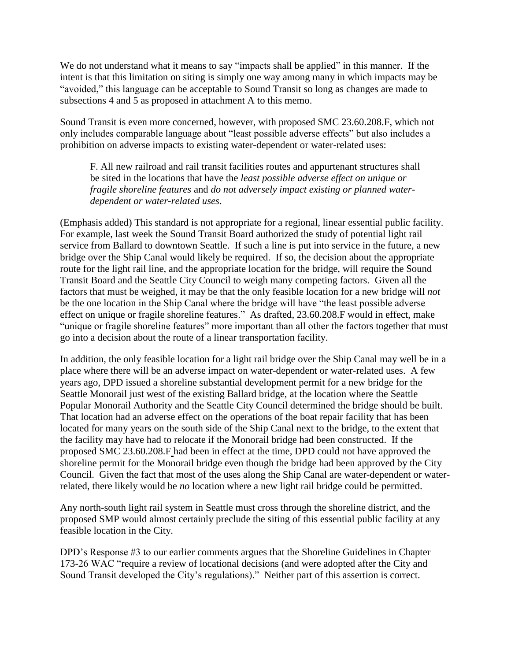We do not understand what it means to say "impacts shall be applied" in this manner. If the intent is that this limitation on siting is simply one way among many in which impacts may be "avoided," this language can be acceptable to Sound Transit so long as changes are made to subsections 4 and 5 as proposed in attachment A to this memo.

Sound Transit is even more concerned, however, with proposed SMC 23.60.208.F, which not only includes comparable language about "least possible adverse effects" but also includes a prohibition on adverse impacts to existing water-dependent or water-related uses:

F. All new railroad and rail transit facilities routes and appurtenant structures shall be sited in the locations that have the *least possible adverse effect on unique or fragile shoreline features* and *do not adversely impact existing or planned waterdependent or water-related uses*.

(Emphasis added) This standard is not appropriate for a regional, linear essential public facility. For example, last week the Sound Transit Board authorized the study of potential light rail service from Ballard to downtown Seattle. If such a line is put into service in the future, a new bridge over the Ship Canal would likely be required. If so, the decision about the appropriate route for the light rail line, and the appropriate location for the bridge, will require the Sound Transit Board and the Seattle City Council to weigh many competing factors. Given all the factors that must be weighed, it may be that the only feasible location for a new bridge will *not* be the one location in the Ship Canal where the bridge will have "the least possible adverse effect on unique or fragile shoreline features." As drafted, 23.60.208.F would in effect, make "unique or fragile shoreline features" more important than all other the factors together that must go into a decision about the route of a linear transportation facility.

In addition, the only feasible location for a light rail bridge over the Ship Canal may well be in a place where there will be an adverse impact on water-dependent or water-related uses. A few years ago, DPD issued a shoreline substantial development permit for a new bridge for the Seattle Monorail just west of the existing Ballard bridge, at the location where the Seattle Popular Monorail Authority and the Seattle City Council determined the bridge should be built. That location had an adverse effect on the operations of the boat repair facility that has been located for many years on the south side of the Ship Canal next to the bridge, to the extent that the facility may have had to relocate if the Monorail bridge had been constructed. If the proposed SMC 23.60.208.F had been in effect at the time, DPD could not have approved the shoreline permit for the Monorail bridge even though the bridge had been approved by the City Council. Given the fact that most of the uses along the Ship Canal are water-dependent or waterrelated, there likely would be *no* location where a new light rail bridge could be permitted.

Any north-south light rail system in Seattle must cross through the shoreline district, and the proposed SMP would almost certainly preclude the siting of this essential public facility at any feasible location in the City.

DPD's Response #3 to our earlier comments argues that the Shoreline Guidelines in Chapter 173-26 WAC "require a review of locational decisions (and were adopted after the City and Sound Transit developed the City's regulations)." Neither part of this assertion is correct.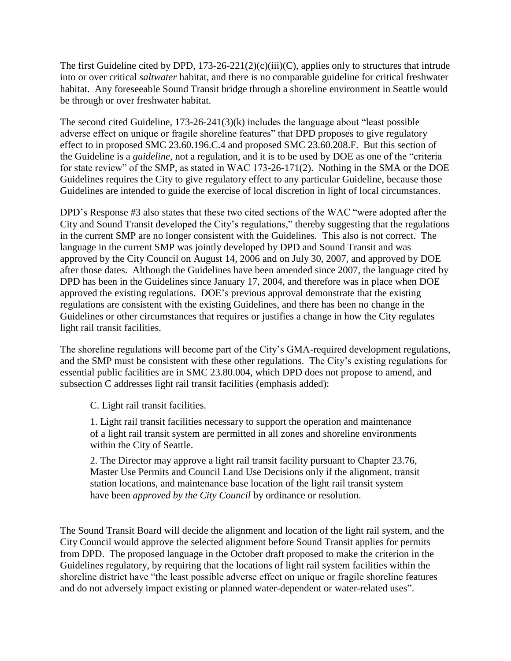The first Guideline cited by DPD,  $173-26-221(2)(c)(iii)(C)$ , applies only to structures that intrude into or over critical *saltwater* habitat, and there is no comparable guideline for critical freshwater habitat. Any foreseeable Sound Transit bridge through a shoreline environment in Seattle would be through or over freshwater habitat.

The second cited Guideline, 173-26-241(3)(k) includes the language about "least possible adverse effect on unique or fragile shoreline features" that DPD proposes to give regulatory effect to in proposed SMC 23.60.196.C.4 and proposed SMC 23.60.208.F. But this section of the Guideline is a *guideline*, not a regulation, and it is to be used by DOE as one of the "criteria for state review" of the SMP, as stated in WAC 173-26-171(2). Nothing in the SMA or the DOE Guidelines requires the City to give regulatory effect to any particular Guideline, because those Guidelines are intended to guide the exercise of local discretion in light of local circumstances.

DPD's Response #3 also states that these two cited sections of the WAC "were adopted after the City and Sound Transit developed the City's regulations," thereby suggesting that the regulations in the current SMP are no longer consistent with the Guidelines. This also is not correct. The language in the current SMP was jointly developed by DPD and Sound Transit and was approved by the City Council on August 14, 2006 and on July 30, 2007, and approved by DOE after those dates. Although the Guidelines have been amended since 2007, the language cited by DPD has been in the Guidelines since January 17, 2004, and therefore was in place when DOE approved the existing regulations. DOE's previous approval demonstrate that the existing regulations are consistent with the existing Guidelines, and there has been no change in the Guidelines or other circumstances that requires or justifies a change in how the City regulates light rail transit facilities.

The shoreline regulations will become part of the City's GMA-required development regulations, and the SMP must be consistent with these other regulations. The City's existing regulations for essential public facilities are in SMC 23.80.004, which DPD does not propose to amend, and subsection C addresses light rail transit facilities (emphasis added):

C. Light rail transit facilities.

1. Light rail transit facilities necessary to support the operation and maintenance of a light rail transit system are permitted in all zones and shoreline environments within the City of Seattle.

2. The Director may approve a light rail transit facility pursuant to Chapter 23.76, Master Use Permits and Council Land Use Decisions only if the alignment, transit station locations, and maintenance base location of the light rail transit system have been *approved by the City Council* by ordinance or resolution.

The Sound Transit Board will decide the alignment and location of the light rail system, and the City Council would approve the selected alignment before Sound Transit applies for permits from DPD. The proposed language in the October draft proposed to make the criterion in the Guidelines regulatory, by requiring that the locations of light rail system facilities within the shoreline district have "the least possible adverse effect on unique or fragile shoreline features and do not adversely impact existing or planned water-dependent or water-related uses".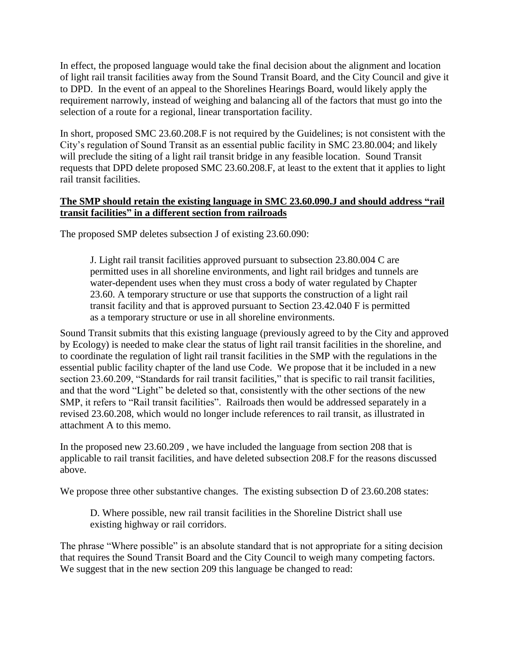In effect, the proposed language would take the final decision about the alignment and location of light rail transit facilities away from the Sound Transit Board, and the City Council and give it to DPD. In the event of an appeal to the Shorelines Hearings Board, would likely apply the requirement narrowly, instead of weighing and balancing all of the factors that must go into the selection of a route for a regional, linear transportation facility.

In short, proposed SMC 23.60.208.F is not required by the Guidelines; is not consistent with the City's regulation of Sound Transit as an essential public facility in SMC 23.80.004; and likely will preclude the siting of a light rail transit bridge in any feasible location. Sound Transit requests that DPD delete proposed SMC 23.60.208.F, at least to the extent that it applies to light rail transit facilities.

# **The SMP should retain the existing language in SMC 23.60.090.J and should address "rail transit facilities" in a different section from railroads**

The proposed SMP deletes subsection J of existing 23.60.090:

J. Light rail transit facilities approved pursuant to subsection 23.80.004 C are permitted uses in all shoreline environments, and light rail bridges and tunnels are water-dependent uses when they must cross a body of water regulated by Chapter 23.60. A temporary structure or use that supports the construction of a light rail transit facility and that is approved pursuant to Section 23.42.040 F is permitted as a temporary structure or use in all shoreline environments.

Sound Transit submits that this existing language (previously agreed to by the City and approved by Ecology) is needed to make clear the status of light rail transit facilities in the shoreline, and to coordinate the regulation of light rail transit facilities in the SMP with the regulations in the essential public facility chapter of the land use Code. We propose that it be included in a new section 23.60.209, "Standards for rail transit facilities," that is specific to rail transit facilities, and that the word "Light" be deleted so that, consistently with the other sections of the new SMP, it refers to "Rail transit facilities". Railroads then would be addressed separately in a revised 23.60.208, which would no longer include references to rail transit, as illustrated in attachment A to this memo.

In the proposed new 23.60.209 , we have included the language from section 208 that is applicable to rail transit facilities, and have deleted subsection 208.F for the reasons discussed above.

We propose three other substantive changes. The existing subsection D of 23.60.208 states:

D. Where possible, new rail transit facilities in the Shoreline District shall use existing highway or rail corridors.

The phrase "Where possible" is an absolute standard that is not appropriate for a siting decision that requires the Sound Transit Board and the City Council to weigh many competing factors. We suggest that in the new section 209 this language be changed to read: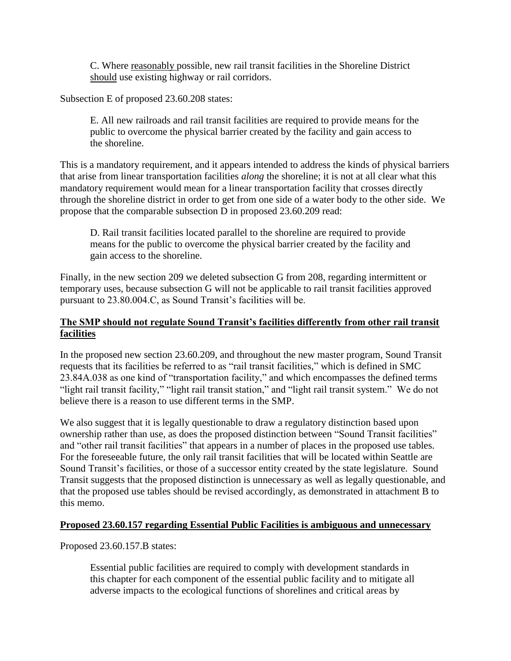C. Where reasonably possible, new rail transit facilities in the Shoreline District should use existing highway or rail corridors.

Subsection E of proposed 23.60.208 states:

E. All new railroads and rail transit facilities are required to provide means for the public to overcome the physical barrier created by the facility and gain access to the shoreline.

This is a mandatory requirement, and it appears intended to address the kinds of physical barriers that arise from linear transportation facilities *along* the shoreline; it is not at all clear what this mandatory requirement would mean for a linear transportation facility that crosses directly through the shoreline district in order to get from one side of a water body to the other side. We propose that the comparable subsection D in proposed 23.60.209 read:

D. Rail transit facilities located parallel to the shoreline are required to provide means for the public to overcome the physical barrier created by the facility and gain access to the shoreline.

Finally, in the new section 209 we deleted subsection G from 208, regarding intermittent or temporary uses, because subsection G will not be applicable to rail transit facilities approved pursuant to 23.80.004.C, as Sound Transit's facilities will be.

# **The SMP should not regulate Sound Transit's facilities differently from other rail transit facilities**

In the proposed new section 23.60.209, and throughout the new master program, Sound Transit requests that its facilities be referred to as "rail transit facilities," which is defined in SMC 23.84A.038 as one kind of "transportation facility," and which encompasses the defined terms "light rail transit facility," "light rail transit station," and "light rail transit system." We do not believe there is a reason to use different terms in the SMP.

We also suggest that it is legally questionable to draw a regulatory distinction based upon ownership rather than use, as does the proposed distinction between "Sound Transit facilities" and "other rail transit facilities" that appears in a number of places in the proposed use tables. For the foreseeable future, the only rail transit facilities that will be located within Seattle are Sound Transit's facilities, or those of a successor entity created by the state legislature. Sound Transit suggests that the proposed distinction is unnecessary as well as legally questionable, and that the proposed use tables should be revised accordingly, as demonstrated in attachment B to this memo.

# **Proposed 23.60.157 regarding Essential Public Facilities is ambiguous and unnecessary**

Proposed 23.60.157.B states:

Essential public facilities are required to comply with development standards in this chapter for each component of the essential public facility and to mitigate all adverse impacts to the ecological functions of shorelines and critical areas by